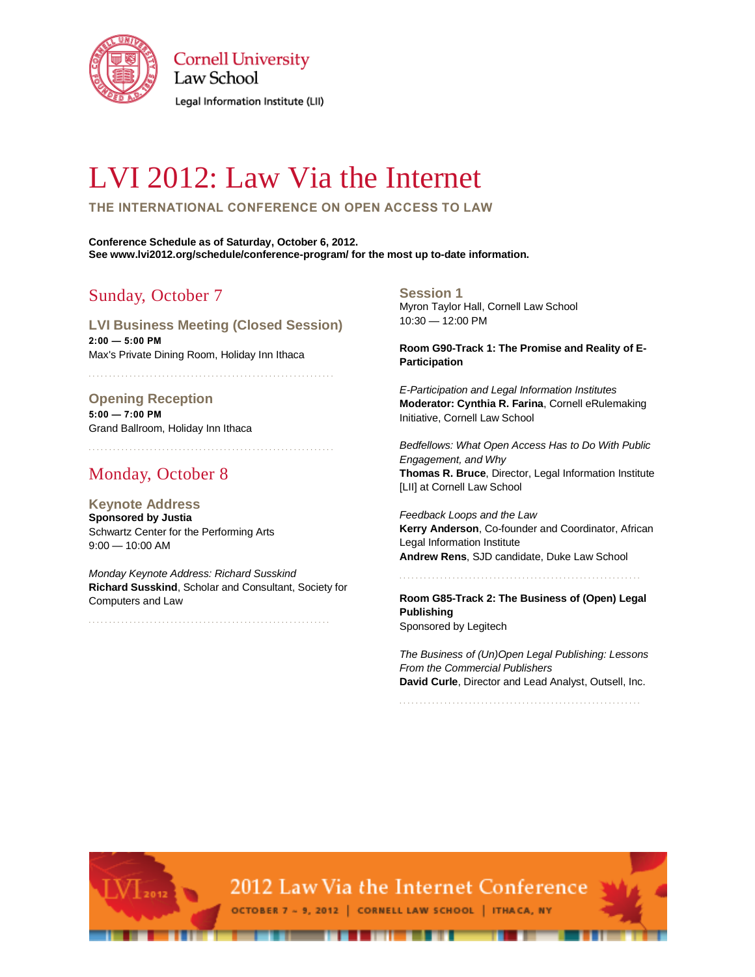

**Cornell University** Law School

Legal Information Institute (LII)

# LVI 2012: Law Via the Internet

**THE INTERNATIONAL CONFERENCE ON OPEN ACCESS TO LAW**

**Conference Schedule as of Saturday, October 6, 2012. See www.lvi2012.org/schedule/conference-program/ for the most up to-date information.**

# Sunday, October 7

**LVI Business Meeting (Closed Session) 2:00 — 5:00 PM** Max's Private Dining Room, Holiday Inn Ithaca

## **Opening Reception**

**5:00 — 7:00 PM** Grand Ballroom, Holiday Inn Ithaca

. . . . . . . . . . . . . . . . . . . . . . . . . . . . . . . . . . . . . . . . . . . . . . . . . . . . . . . . . . . .

. . . . . . . . . . . . . . . . . . . . . . . . . . . . . . . . . . . . . . . . . . . . . . . . . . . . . . . . . . . .

# Monday, October 8

 $\frac{1}{2012}$ 

**Keynote Address Sponsored by Justia** Schwartz Center for the Performing Arts 9:00 — 10:00 AM

*Monday Keynote Address: Richard Susskind* **Richard Susskind**, Scholar and Consultant, Society for Computers and Law

. . . . . . . . . . . . . . . . . . . . . . . . . . . . . . . . . . . . . . . . . . . . . . . . . . . . . . . . . . .

**Session 1**

Myron Taylor Hall, Cornell Law School 10:30 — 12:00 PM

**Room G90-Track 1: The Promise and Reality of E-Participation**

*E-Participation and Legal Information Institutes* **Moderator: Cynthia R. Farina**, Cornell eRulemaking Initiative, Cornell Law School

*Bedfellows: What Open Access Has to Do With Public Engagement, and Why* **Thomas R. Bruce**, Director, Legal Information Institute [LII] at Cornell Law School

*Feedback Loops and the Law*  **Kerry Anderson**, Co-founder and Coordinator, African Legal Information Institute **Andrew Rens**, SJD candidate, Duke Law School

. . . . . . . . . . . . . . . . . . . . . . . . . . . . . . . . . . . . . . . . . . . . . . . . . . . . . . . . . . .

**Room G85-Track 2: The Business of (Open) Legal Publishing** Sponsored by Legitech

*The Business of (Un)Open Legal Publishing: Lessons From the Commercial Publishers* **David Curle**, Director and Lead Analyst, Outsell, Inc.

. . . . . . . . . . . . . . . . . . . . . . . . . . . . . . . . . . . . . . . . . . . . . . . . . . . . . . . . . . .



OCTOBER 7 - 9, 2012 | CORNELL LAW SCHOOL | ITHACA, NY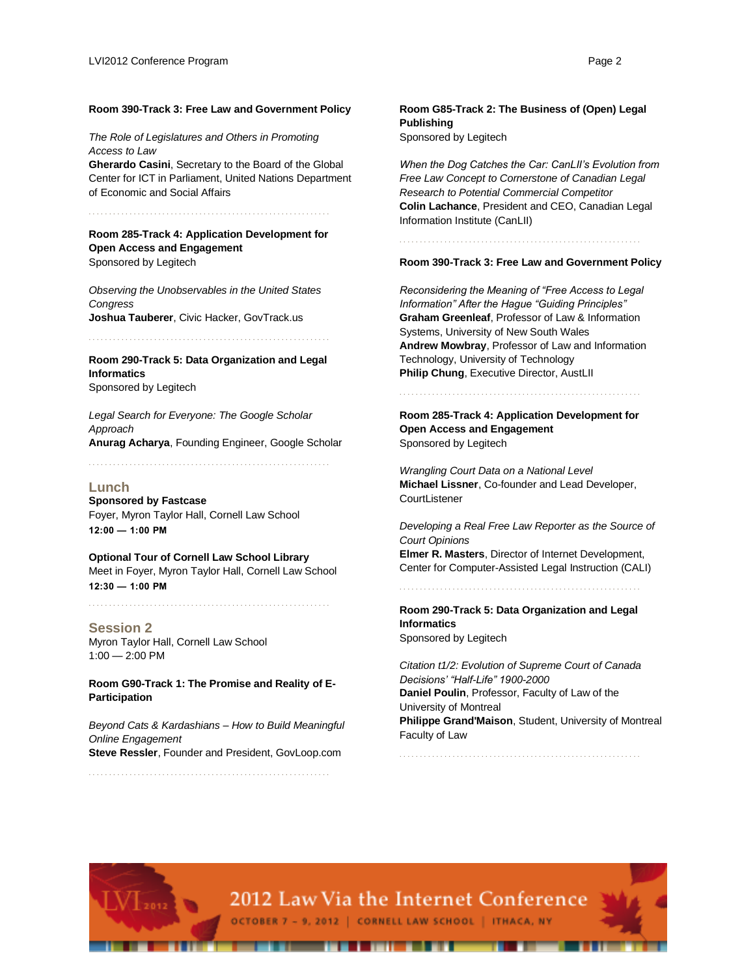#### **Room 390-Track 3: Free Law and Government Policy**

*The Role of Legislatures and Others in Promoting Access to Law*

**Gherardo Casini**, Secretary to the Board of the Global Center for ICT in Parliament, United Nations Department of Economic and Social Affairs

. . . . . . . . . . . . . . . . . . . . . . . . . . . . . . . . . . . . . . . . . . . . . . . . . . . . . . . . . . .

**Room 285-Track 4: Application Development for Open Access and Engagement** Sponsored by Legitech

*Observing the Unobservables in the United States Congress* **Joshua Tauberer**, Civic Hacker, GovTrack.us

. . . . . . . . . . . . . . . . . . . . . . . . . . . . . . . . . . . . . . . . . . . . . . . . . . . . . . . . . . .

**Room 290-Track 5: Data Organization and Legal Informatics** Sponsored by Legitech

*Legal Search for Everyone: The Google Scholar Approach* **Anurag Acharya**, Founding Engineer, Google Scholar

. . . . . . . . . . . . . . . . . . . . . . . . . . . . . . . . . . . . . . . . . . . . . . . . . . . . . . . . . . .

#### **Lunch**

**Sponsored by Fastcase** Foyer, Myron Taylor Hall, Cornell Law School **12:00 — 1:00 PM**

**Optional Tour of Cornell Law School Library** Meet in Foyer, Myron Taylor Hall, Cornell Law School **12:30 — 1:00 PM**

**Session 2** Myron Taylor Hall, Cornell Law School  $1:00 - 2:00$  PM

**Room G90-Track 1: The Promise and Reality of E-Participation**

*Beyond Cats & Kardashians – How to Build Meaningful Online Engagement* **Steve Ressler**, Founder and President, GovLoop.com

. . . . . . . . . . . . . . . . . . . . . . . . . . . . . . . . . . . . . . . . . . . . . . . . . . . . . . . . . . .

**Room G85-Track 2: The Business of (Open) Legal Publishing** Sponsored by Legitech

*When the Dog Catches the Car: CanLII's Evolution from Free Law Concept to Cornerstone of Canadian Legal Research to Potential Commercial Competitor* **Colin Lachance**, President and CEO, Canadian Legal Information Institute (CanLII)

. . . . . . . . . . . . . . . . . . . . . . . . . . . . . . . . . . . . . . . . . . . . . . . . . . . . . . . . . . .

#### **Room 390-Track 3: Free Law and Government Policy**

*Reconsidering the Meaning of "Free Access to Legal Information" After the Hague "Guiding Principles"* **Graham Greenleaf**, Professor of Law & Information Systems, University of New South Wales **Andrew Mowbray**, Professor of Law and Information Technology, University of Technology **Philip Chung**, Executive Director, AustLII

. . . . . . . . . . . . . . . . . . . . . . . . . . . . . . . . . . . . . . . . . . . . . . . . . . . . . . . . . . .

**Room 285-Track 4: Application Development for Open Access and Engagement** Sponsored by Legitech

*Wrangling Court Data on a National Level* **Michael Lissner**, Co-founder and Lead Developer, **CourtListener** 

*Developing a Real Free Law Reporter as the Source of Court Opinions*

**Elmer R. Masters**, Director of Internet Development, Center for Computer-Assisted Legal Instruction (CALI)

**Room 290-Track 5: Data Organization and Legal Informatics** Sponsored by Legitech

. . . . . . . . . . . . . . . . . . . . . . . . . . . . . . . . . . . . . . . . . . . . . . . . . . . . . . . . . . .

*Citation t1/2: Evolution of Supreme Court of Canada Decisions' "Half-Life" 1900-2000* **Daniel Poulin**, Professor, Faculty of Law of the University of Montreal **Philippe Grand'Maison**, Student, University of Montreal Faculty of Law

. . . . . . . . . . . . . . . . . . . . . . . . . . . . . . . . . . . . . . . . . . . . . . . . . . . . . . . . . . .



OCTOBER 7 - 9, 2012 | CORNELL LAW SCHOOL | ITHACA, NY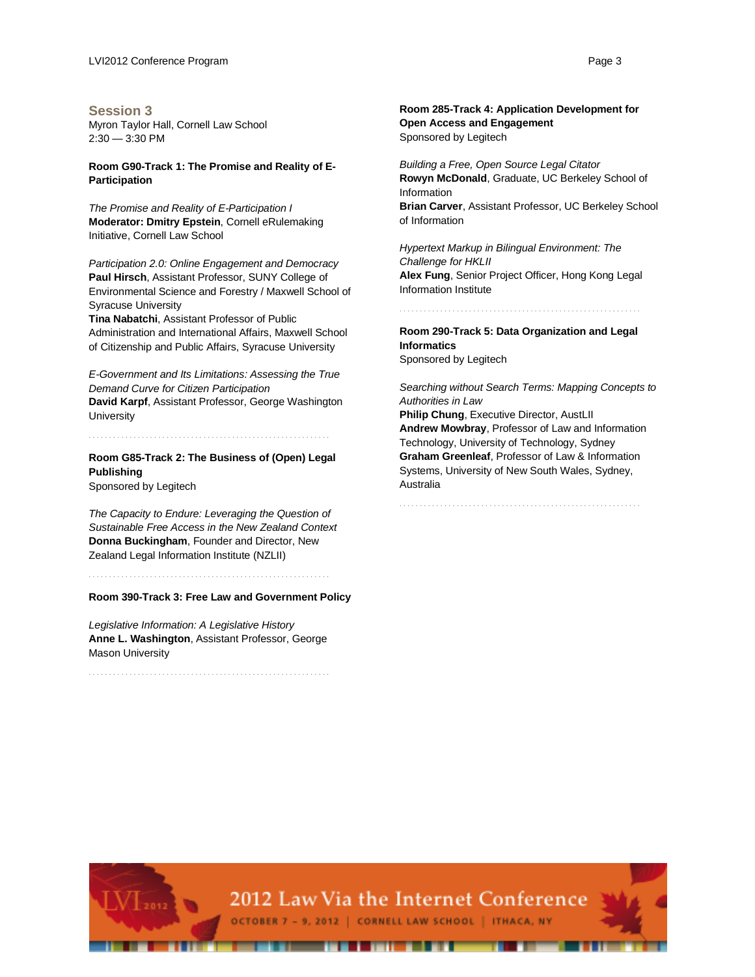#### **Session 3**

Myron Taylor Hall, Cornell Law School 2:30 — 3:30 PM

#### **Room G90-Track 1: The Promise and Reality of E-Participation**

*The Promise and Reality of E-Participation I* **Moderator: Dmitry Epstein**, Cornell eRulemaking Initiative, Cornell Law School

*Participation 2.0: Online Engagement and Democracy* **Paul Hirsch**, Assistant Professor, SUNY College of Environmental Science and Forestry / Maxwell School of Syracuse University

**Tina Nabatchi**, Assistant Professor of Public Administration and International Affairs, Maxwell School of Citizenship and Public Affairs, Syracuse University

*E-Government and Its Limitations: Assessing the True Demand Curve for Citizen Participation* **David Karpf**, Assistant Professor, George Washington **University** 

**Room G85-Track 2: The Business of (Open) Legal Publishing**

. . . . . . . . . . . . . . . . . . . . . . . . . . . . . . . . . . . . . . . . . . . . . . . . . . . . . . . . . . .

Sponsored by Legitech

*The Capacity to Endure: Leveraging the Question of Sustainable Free Access in the New Zealand Context* **Donna Buckingham**, Founder and Director, New Zealand Legal Information Institute (NZLII)

. . . . . . . . . . . . . . . . . . . . . . . . . . . . . . . . . . . . . . . . . . . . . . . . . . . . . . . . . . .

**Room 390-Track 3: Free Law and Government Policy**

*Legislative Information: A Legislative History* **Anne L. Washington**, Assistant Professor, George Mason University

. . . . . . . . . . . . . . . . . . . . . . . . . . . . . . . . . . . . . . . . . . . . . . . . . . . . . . . . . . .

**Room 285-Track 4: Application Development for Open Access and Engagement** Sponsored by Legitech

*Building a Free, Open Source Legal Citator* **Rowyn McDonald**, Graduate, UC Berkeley School of Information **Brian Carver**, Assistant Professor, UC Berkeley School of Information

*Hypertext Markup in Bilingual Environment: The Challenge for HKLII* **Alex Fung**, Senior Project Officer, Hong Kong Legal Information Institute

**Room 290-Track 5: Data Organization and Legal Informatics**

. . . . . . . . . . . . . . . . . . . . . . . . . . . . . . . . . . . . . . . . . . . . . . . . . . . . . . . . . . .

Sponsored by Legitech

*Searching without Search Terms: Mapping Concepts to Authorities in Law*  **Philip Chung, Executive Director, AustLII** 

**Andrew Mowbray**, Professor of Law and Information Technology, University of Technology, Sydney **Graham Greenleaf**, Professor of Law & Information Systems, University of New South Wales, Sydney, Australia

. . . . . . . . . . . . . . . . . . . . . . . . . . . . . . . . . . . . . . . . . . . . . . . . . . . . . . . . . . .

2012 Law Via the Internet Conference OCTOBER 7 - 9, 2012 | CORNELL LAW SCHOOL | ITHACA, NY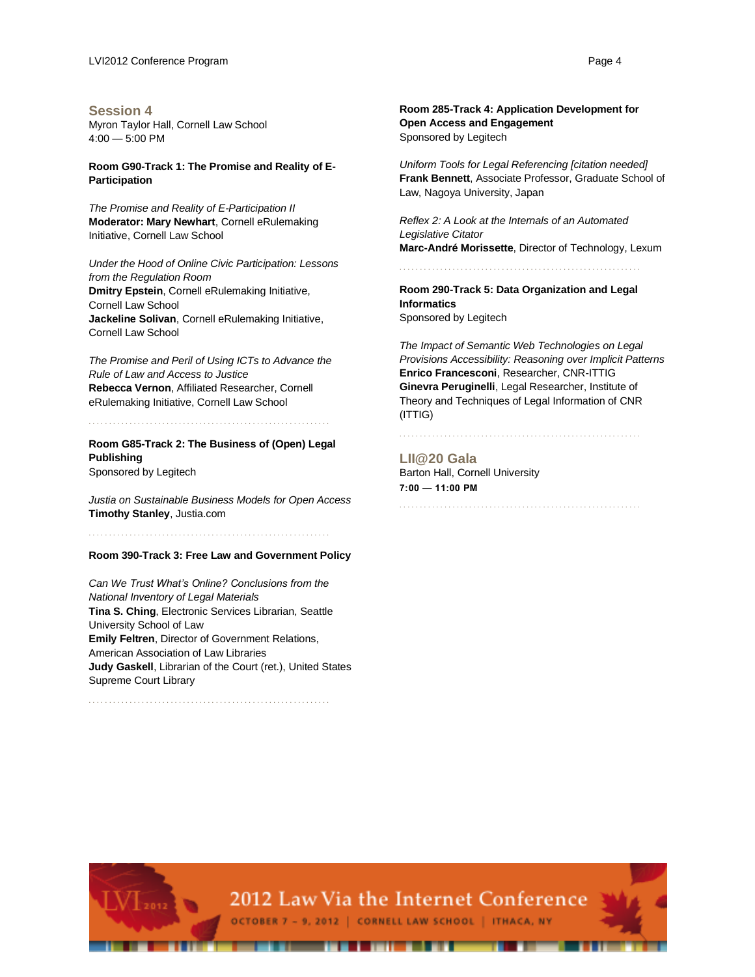#### **Session 4**

Myron Taylor Hall, Cornell Law School 4:00 — 5:00 PM

#### **Room G90-Track 1: The Promise and Reality of E-Participation**

*The Promise and Reality of E-Participation II* **Moderator: Mary Newhart**, Cornell eRulemaking Initiative, Cornell Law School

*Under the Hood of Online Civic Participation: Lessons from the Regulation Room* **Dmitry Epstein**, Cornell eRulemaking Initiative, Cornell Law School **Jackeline Solivan**, Cornell eRulemaking Initiative, Cornell Law School

*The Promise and Peril of Using ICTs to Advance the Rule of Law and Access to Justice* **Rebecca Vernon**, Affiliated Researcher, Cornell eRulemaking Initiative, Cornell Law School

. . . . . . . . . . . . . . . . . . . . . . . . . . . . . . . . . . . . . . . . . . . . . . . . . . . . . . . . . . . **Room G85-Track 2: The Business of (Open) Legal** 

**Publishing** Sponsored by Legitech

*Justia on Sustainable Business Models for Open Access* **Timothy Stanley**, Justia.com

**Room 390-Track 3: Free Law and Government Policy**

. . . . . . . . . . . . . . . . . . . . . . . . . . . . . . . . . . . . . . . . . . . . . . . . . . . . . . . . . . .

*Can We Trust What's Online? Conclusions from the National Inventory of Legal Materials* **Tina S. Ching**, Electronic Services Librarian, Seattle University School of Law **Emily Feltren**, Director of Government Relations, American Association of Law Libraries **Judy Gaskell**, Librarian of the Court (ret.), United States Supreme Court Library

. . . . . . . . . . . . . . . . . . . . . . . . . . . . . . . . . . . . . . . . . . . . . . . . . . . . . . . . . . .

**Room 285-Track 4: Application Development for Open Access and Engagement** Sponsored by Legitech

*Uniform Tools for Legal Referencing [citation needed]* **Frank Bennett**, Associate Professor, Graduate School of Law, Nagoya University, Japan

*Reflex 2: A Look at the Internals of an Automated Legislative Citator* **Marc-André Morissette**, Director of Technology, Lexum

**Room 290-Track 5: Data Organization and Legal Informatics**

. . . . . . . . . . . . . . . . . . . . . . . . . . . . . . . . . . . . . . . . . . . . . . . . . . . . . . . . . . .

Sponsored by Legitech

*The Impact of Semantic Web Technologies on Legal Provisions Accessibility: Reasoning over Implicit Patterns* **Enrico Francesconi**, Researcher, CNR-ITTIG **Ginevra Peruginelli**, Legal Researcher, Institute of Theory and Techniques of Legal Information of CNR (ITTIG)

. . . . . . . . . . . . . . . . . . . . . . . . . . . . . . . . . . . . . . . . . . . . . . . . . . . . . . . . . . .

. . . . . . . . . . . . . . . . . . . . . . . . . . . . . . . . . . . . . . . . . . . . . . . . . . . . . . . . . . .

**LII@20 Gala** Barton Hall, Cornell University **7:00 — 11:00 PM**



. . . . . . . . . . . .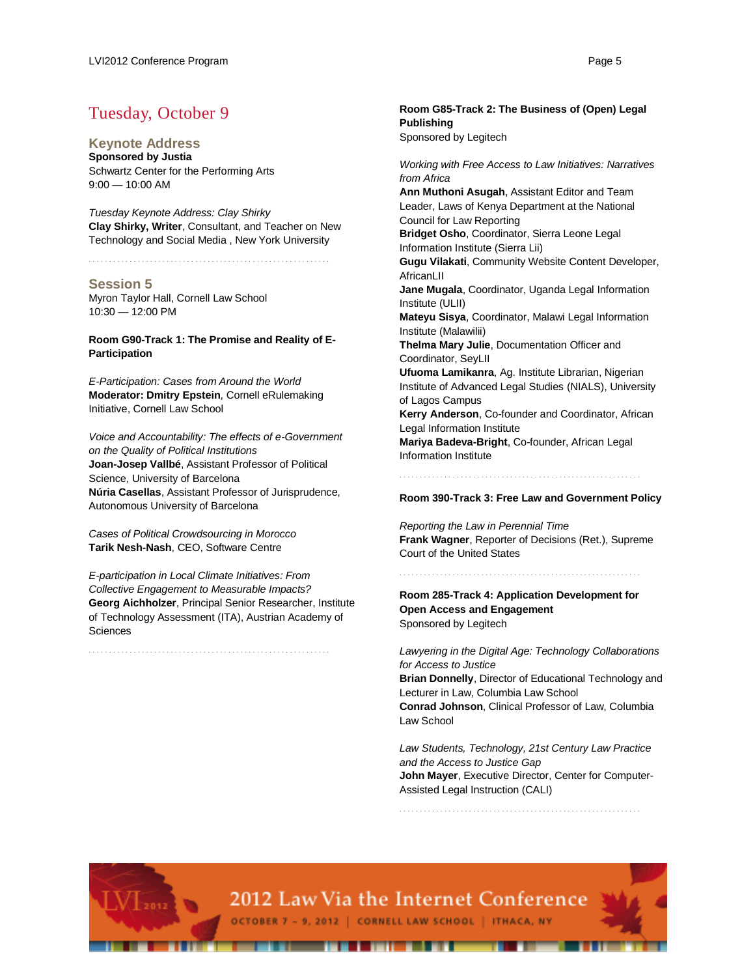## Tuesday, October 9

**Keynote Address**

**Sponsored by Justia** Schwartz Center for the Performing Arts 9:00 — 10:00 AM

*Tuesday Keynote Address: Clay Shirky* **Clay Shirky, Writer**, Consultant, and Teacher on New Technology and Social Media , New York University

. . . . . . . . . . . . . . . . . . . . . . . . . . . . . . . . . . . . . . . . . . . . . . . . . . . . . . . . . . .

#### **Session 5**

Myron Taylor Hall, Cornell Law School 10:30 — 12:00 PM

#### **Room G90-Track 1: The Promise and Reality of E-Participation**

*E-Participation: Cases from Around the World* **Moderator: Dmitry Epstein**, Cornell eRulemaking Initiative, Cornell Law School

*Voice and Accountability: The effects of e-Government on the Quality of Political Institutions* **Joan-Josep Vallbé**, Assistant Professor of Political Science, University of Barcelona **Núria Casellas**, Assistant Professor of Jurisprudence, Autonomous University of Barcelona

*Cases of Political Crowdsourcing in Morocco* **Tarik Nesh-Nash**, CEO, Software Centre

*E-participation in Local Climate Initiatives: From Collective Engagement to Measurable Impacts?* **Georg Aichholzer**, Principal Senior Researcher, Institute of Technology Assessment (ITA), Austrian Academy of **Sciences** 

. . . . . . . . . . . . . . . . . . . . . . . . . . . . . . . . . . . . . . . . . . . . . . . . . . . . . . . . . . .

**Room G85-Track 2: The Business of (Open) Legal Publishing** Sponsored by Legitech

*Working with Free Access to Law Initiatives: Narratives from Africa* 

**Ann Muthoni Asugah**, Assistant Editor and Team Leader, Laws of Kenya Department at the National Council for Law Reporting **Bridget Osho**, Coordinator, Sierra Leone Legal Information Institute (Sierra Lii) **Gugu Vilakati**, Community Website Content Developer, **AfricanLII Jane Mugala**, Coordinator, Uganda Legal Information Institute (ULII) **Mateyu Sisya**, Coordinator, Malawi Legal Information Institute (Malawilii) **Thelma Mary Julie**, Documentation Officer and Coordinator, SeyLII **Ufuoma Lamikanra**, Ag. Institute Librarian, Nigerian Institute of Advanced Legal Studies (NIALS), University of Lagos Campus **Kerry Anderson**, Co-founder and Coordinator, African Legal Information Institute **Mariya Badeva-Bright**, Co-founder, African Legal Information Institute

#### **Room 390-Track 3: Free Law and Government Policy**

. . . . . . . . . . . . . . . . . . . . . . . . . . . . . . . . . . . . . . . . . . . . . . . . . . . . . . . . . . .

*Reporting the Law in Perennial Time* **Frank Wagner**, Reporter of Decisions (Ret.), Supreme Court of the United States

. . . . . . . . . . . . . . . . . . . . . . . . . . . . . . . . . . . . . . . . . . . . . . . . . . . . . . . . . . .

**Room 285-Track 4: Application Development for Open Access and Engagement** Sponsored by Legitech

*Lawyering in the Digital Age: Technology Collaborations for Access to Justice*

**Brian Donnelly**, Director of Educational Technology and Lecturer in Law, Columbia Law School **Conrad Johnson**, Clinical Professor of Law, Columbia Law School

*Law Students, Technology, 21st Century Law Practice and the Access to Justice Gap* **John Mayer**, Executive Director, Center for Computer-Assisted Legal Instruction (CALI)

. . . . . . . . . . . . . . . . . . . . . . . . . . . . . . . . . . . . . . . . . . . . . . . . . . . . . . . . . . .



. . . . . . . . . . . . .

OCTOBER 7 - 9, 2012 | CORNELL LAW SCHOOL | ITHACA, NY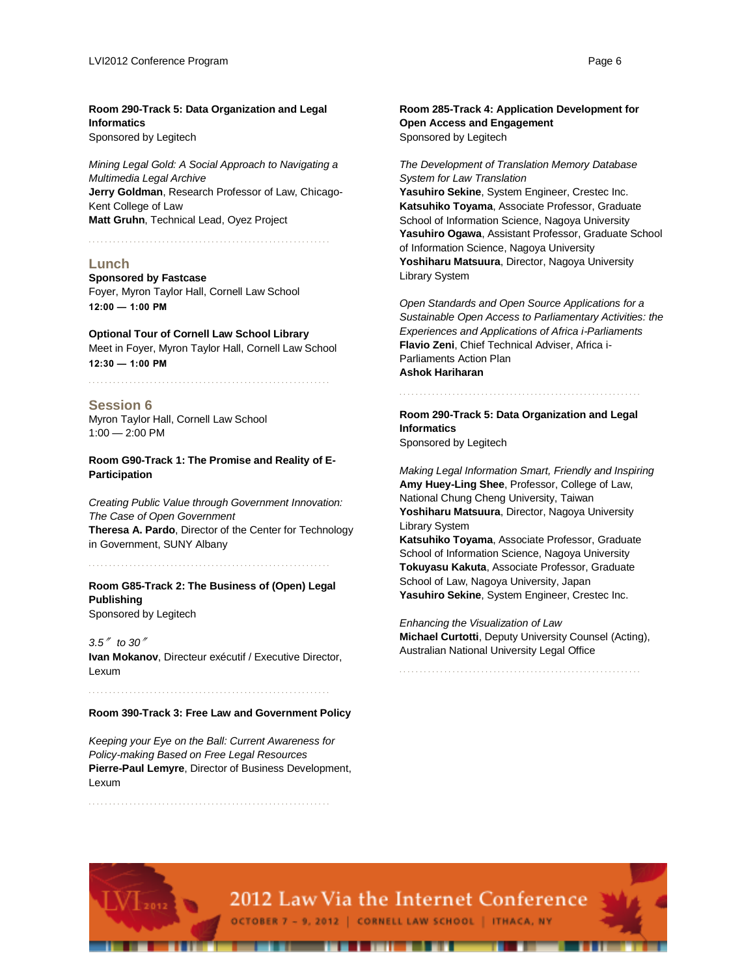**Room 290-Track 5: Data Organization and Legal Informatics** Sponsored by Legitech

*Mining Legal Gold: A Social Approach to Navigating a Multimedia Legal Archive* **Jerry Goldman**, Research Professor of Law, Chicago-Kent College of Law **Matt Gruhn**, Technical Lead, Oyez Project

. . . . . . . . . . . . . . . . . . . . . . . . . . . . . . . . . . . . . . . . . . . . . . . . . . . . . . . . . . .

#### **Lunch**

**Sponsored by Fastcase** Foyer, Myron Taylor Hall, Cornell Law School **12:00 — 1:00 PM**

**Optional Tour of Cornell Law School Library** Meet in Foyer, Myron Taylor Hall, Cornell Law School **12:30 — 1:00 PM**

. . . . . . . . . . . . . . . . . . . . . . . . . . . . . . . . . . . . . . . . . . . . . . . . . . . . . . . . . . .

#### **Session 6**

Myron Taylor Hall, Cornell Law School 1:00 — 2:00 PM

**Room G90-Track 1: The Promise and Reality of E-Participation**

*Creating Public Value through Government Innovation: The Case of Open Government* **Theresa A. Pardo**, Director of the Center for Technology in Government, SUNY Albany

. . . . . . . . . . . . . . . . . . . . . . . . . . . . . . . . . . . . . . . . . . . . . . . . . . . . . . . . . . .

**Room G85-Track 2: The Business of (Open) Legal Publishing** Sponsored by Legitech

*3.5*″ *to 30*″ **Ivan Mokanov**, Directeur exécutif / Executive Director, Lexum

. . . . . . . . . . . . . . . . . . . . . . . . . . . . . . . . . . . . . . . . . . . . . . . . . . . . . . . . . . .

#### **Room 390-Track 3: Free Law and Government Policy**

*Keeping your Eye on the Ball: Current Awareness for Policy-making Based on Free Legal Resources* **Pierre-Paul Lemyre**, Director of Business Development, Lexum

. . . . . . . . . . . . . . . . . . . . . . . . . . . . . . . . . . . . . . . . . . . . . . . . . . . . . . . . . . .

**Room 285-Track 4: Application Development for Open Access and Engagement** Sponsored by Legitech

#### *The Development of Translation Memory Database System for Law Translation*

**Yasuhiro Sekine**, System Engineer, Crestec Inc. **Katsuhiko Toyama**, Associate Professor, Graduate School of Information Science, Nagoya University **Yasuhiro Ogawa**, Assistant Professor, Graduate School of Information Science, Nagoya University **Yoshiharu Matsuura**, Director, Nagoya University Library System

*Open Standards and Open Source Applications for a Sustainable Open Access to Parliamentary Activities: the Experiences and Applications of Africa i-Parliaments* **Flavio Zeni**, Chief Technical Adviser, Africa i-Parliaments Action Plan **Ashok Hariharan**

. . . . . . . . . . . . . . . . . . . . . . . . . . . . . . . . . . . . . . . . . . . . . . . . . . . . . . . . . . . **Room 290-Track 5: Data Organization and Legal Informatics**

Sponsored by Legitech

*Making Legal Information Smart, Friendly and Inspiring* **Amy Huey-Ling Shee**, Professor, College of Law, National Chung Cheng University, Taiwan **Yoshiharu Matsuura**, Director, Nagoya University Library System

**Katsuhiko Toyama**, Associate Professor, Graduate School of Information Science, Nagoya University **Tokuyasu Kakuta**, Associate Professor, Graduate School of Law, Nagoya University, Japan **Yasuhiro Sekine**, System Engineer, Crestec Inc.

*Enhancing the Visualization of Law* **Michael Curtotti**, Deputy University Counsel (Acting), Australian National University Legal Office

. . . . . . . . . . . . . . . . . . . . . . . . . . . . . . . . . . . . . . . . . . . . . . . . . . . . . . . . . . .



OCTOBER 7 - 9, 2012 | CORNELL LAW SCHOOL | ITHACA, NY

. . . . . . . . . . . . .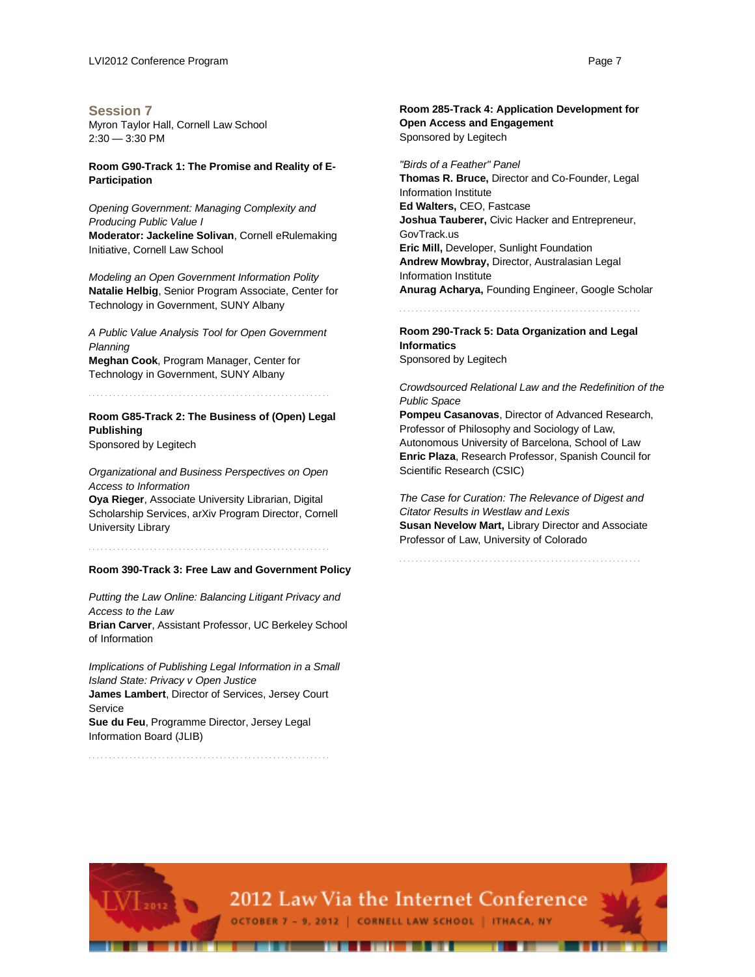**Session 7** Myron Taylor Hall, Cornell Law School 2:30 — 3:30 PM

#### **Room G90-Track 1: The Promise and Reality of E-Participation**

*Opening Government: Managing Complexity and Producing Public Value I* **Moderator: Jackeline Solivan**, Cornell eRulemaking Initiative, Cornell Law School

*Modeling an Open Government Information Polity* **Natalie Helbig**, Senior Program Associate, Center for Technology in Government, SUNY Albany

*A Public Value Analysis Tool for Open Government Planning* **Meghan Cook**, Program Manager, Center for

Technology in Government, SUNY Albany

. . . . . . . . . . . . . . . . . . . . . . . . . . . . . . . . . . . . . . . . . . . . . . . . . . . . . . . . . . .

**Room G85-Track 2: The Business of (Open) Legal Publishing**

Sponsored by Legitech

*Organizational and Business Perspectives on Open Access to Information* **Oya Rieger**, Associate University Librarian, Digital Scholarship Services, arXiv Program Director, Cornell

. . . . . . . . . . . . . . . . . . . . . . . . . . . . . . . . . . . . . . . . . . . . . . . . . . . . . . . . . . .

University Library

#### **Room 390-Track 3: Free Law and Government Policy**

*Putting the Law Online: Balancing Litigant Privacy and Access to the Law* **Brian Carver**, Assistant Professor, UC Berkeley School of Information

*Implications of Publishing Legal Information in a Small Island State: Privacy v Open Justice* **James Lambert**, Director of Services, Jersey Court Service **Sue du Feu**, Programme Director, Jersey Legal Information Board (JLIB)

. . . . . . . . . . . . . . . . . . . . . . . . . . . . . . . . . . . . . . . . . . . . . . . . . . . . . . . . . . .

**Open Access and Engagement** Sponsored by Legitech

*"Birds of a Feather" Panel* **Thomas R. Bruce,** Director and Co-Founder, Legal Information Institute **Ed Walters,** CEO, Fastcase **Joshua Tauberer,** Civic Hacker and Entrepreneur, GovTrack.us **Eric Mill,** Developer, Sunlight Foundation **Andrew Mowbray,** Director, Australasian Legal Information Institute **Anurag Acharya,** Founding Engineer, Google Scholar

. . . . . . . . . . . . . . . . . . . . . . . . . . . . . . . . . . . . . . . . . . . . . . . . . . . . . . . . . . .

**Room 290-Track 5: Data Organization and Legal Informatics** Sponsored by Legitech

*Crowdsourced Relational Law and the Redefinition of the Public Space*

**Pompeu Casanovas**, Director of Advanced Research, Professor of Philosophy and Sociology of Law, Autonomous University of Barcelona, School of Law **Enric Plaza**, Research Professor, Spanish Council for Scientific Research (CSIC)

*The Case for Curation: The Relevance of Digest and Citator Results in Westlaw and Lexis* **Susan Nevelow Mart,** Library Director and Associate Professor of Law, University of Colorado

. . . . . . . . . . . . . . . . . . . . . . . . . . . . . . . . . . . . . . . . . . . . . . . . . . . . . . . . . . .

# **Room 285-Track 4: Application Development for**